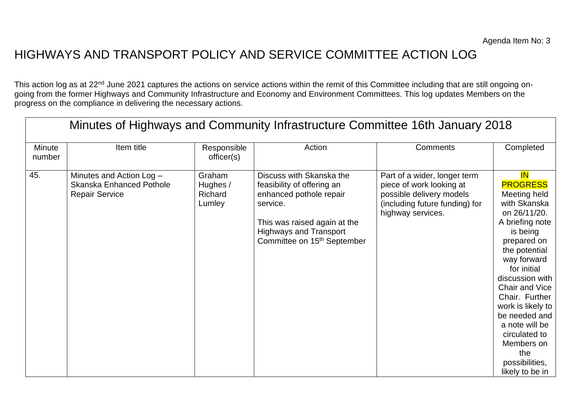## HIGHWAYS AND TRANSPORT POLICY AND SERVICE COMMITTEE ACTION LOG

This action log as at 22<sup>nd</sup> June 2021 captures the actions on service actions within the remit of this Committee including that are still ongoing ongoing from the former Highways and Community Infrastructure and Economy and Environment Committees. This log updates Members on the progress on the compliance in delivering the necessary actions.

| Minutes of Highways and Community Infrastructure Committee 16th January 2018 |                                                                                      |                                         |                                                                                                                                                                                                           |                                                                                                                                             |                                                                                                                                                                                                                                                                                                                                                                     |  |
|------------------------------------------------------------------------------|--------------------------------------------------------------------------------------|-----------------------------------------|-----------------------------------------------------------------------------------------------------------------------------------------------------------------------------------------------------------|---------------------------------------------------------------------------------------------------------------------------------------------|---------------------------------------------------------------------------------------------------------------------------------------------------------------------------------------------------------------------------------------------------------------------------------------------------------------------------------------------------------------------|--|
| <b>Minute</b><br>number                                                      | Item title                                                                           | Responsible<br>officer(s)               | Action                                                                                                                                                                                                    | Comments                                                                                                                                    | Completed                                                                                                                                                                                                                                                                                                                                                           |  |
| 45.                                                                          | Minutes and Action Log -<br><b>Skanska Enhanced Pothole</b><br><b>Repair Service</b> | Graham<br>Hughes /<br>Richard<br>Lumley | Discuss with Skanska the<br>feasibility of offering an<br>enhanced pothole repair<br>service.<br>This was raised again at the<br><b>Highways and Transport</b><br>Committee on 15 <sup>th</sup> September | Part of a wider, longer term<br>piece of work looking at<br>possible delivery models<br>(including future funding) for<br>highway services. | <b>IN</b><br><b>PROGRESS</b><br>Meeting held<br>with Skanska<br>on 26/11/20.<br>A briefing note<br>is being<br>prepared on<br>the potential<br>way forward<br>for initial<br>discussion with<br>Chair and Vice<br>Chair. Further<br>work is likely to<br>be needed and<br>a note will be<br>circulated to<br>Members on<br>the<br>possibilities,<br>likely to be in |  |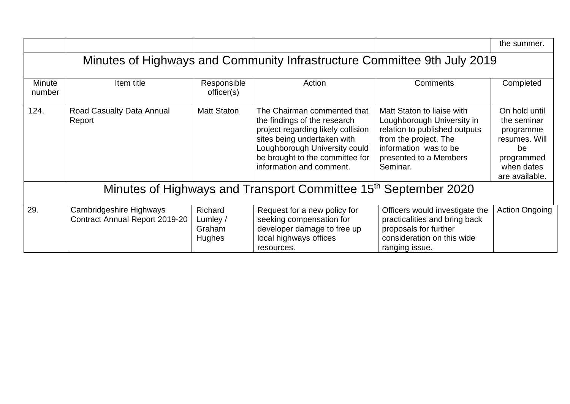|                                                                             |                                                                  |                                                |                                                                                                                                                                                                                                  |                                                                                                                                                                                   | the summer.                                                                                                    |  |  |
|-----------------------------------------------------------------------------|------------------------------------------------------------------|------------------------------------------------|----------------------------------------------------------------------------------------------------------------------------------------------------------------------------------------------------------------------------------|-----------------------------------------------------------------------------------------------------------------------------------------------------------------------------------|----------------------------------------------------------------------------------------------------------------|--|--|
| Minutes of Highways and Community Infrastructure Committee 9th July 2019    |                                                                  |                                                |                                                                                                                                                                                                                                  |                                                                                                                                                                                   |                                                                                                                |  |  |
| <b>Minute</b><br>number                                                     | Item title                                                       | Responsible<br>officer(s)                      | Action                                                                                                                                                                                                                           | Comments                                                                                                                                                                          | Completed                                                                                                      |  |  |
| 124.                                                                        | Road Casualty Data Annual<br>Report                              | <b>Matt Staton</b>                             | The Chairman commented that<br>the findings of the research<br>project regarding likely collision<br>sites being undertaken with<br>Loughborough University could<br>be brought to the committee for<br>information and comment. | Matt Staton to liaise with<br>Loughborough University in<br>relation to published outputs<br>from the project. The<br>information was to be<br>presented to a Members<br>Seminar. | On hold until<br>the seminar<br>programme<br>resumes. Will<br>be<br>programmed<br>when dates<br>are available. |  |  |
| Minutes of Highways and Transport Committee 15 <sup>th</sup> September 2020 |                                                                  |                                                |                                                                                                                                                                                                                                  |                                                                                                                                                                                   |                                                                                                                |  |  |
| 29.                                                                         | <b>Cambridgeshire Highways</b><br>Contract Annual Report 2019-20 | Richard<br>Lumley /<br>Graham<br><b>Hughes</b> | Request for a new policy for<br>seeking compensation for<br>developer damage to free up<br>local highways offices<br>resources.                                                                                                  | Officers would investigate the<br>practicalities and bring back<br>proposals for further<br>consideration on this wide<br>ranging issue.                                          | <b>Action Ongoing</b>                                                                                          |  |  |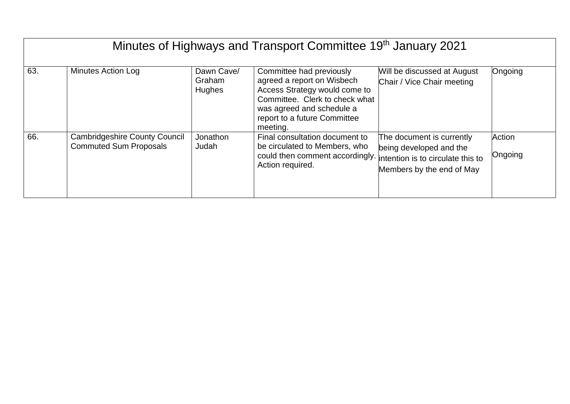| Minutes of Highways and Transport Committee 19th January 2021 |                                                                       |                                       |                                                                                                                                                                                                    |                                                                                                                        |                   |
|---------------------------------------------------------------|-----------------------------------------------------------------------|---------------------------------------|----------------------------------------------------------------------------------------------------------------------------------------------------------------------------------------------------|------------------------------------------------------------------------------------------------------------------------|-------------------|
| 63.                                                           | <b>Minutes Action Log</b>                                             | Dawn Cave/<br>Graham<br><b>Hughes</b> | Committee had previously<br>agreed a report on Wisbech<br>Access Strategy would come to<br>Committee. Clerk to check what<br>was agreed and schedule a<br>report to a future Committee<br>meeting. | Will be discussed at August<br>Chair / Vice Chair meeting                                                              | Ongoing           |
| 66.                                                           | <b>Cambridgeshire County Council</b><br><b>Commuted Sum Proposals</b> | Jonathon<br>Judah                     | Final consultation document to<br>be circulated to Members, who<br>could then comment accordingly.<br>Action required.                                                                             | The document is currently<br>being developed and the<br>intention is to circulate this to<br>Members by the end of May | Action<br>Ongoing |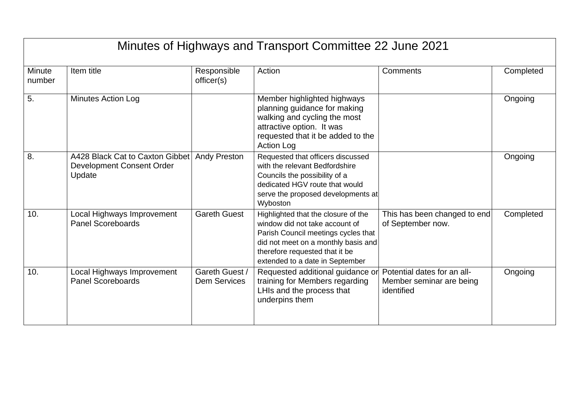| Minutes of Highways and Transport Committee 22 June 2021 |                                                                        |                                       |                                                                                                                                                                                                                          |                                                                       |           |  |
|----------------------------------------------------------|------------------------------------------------------------------------|---------------------------------------|--------------------------------------------------------------------------------------------------------------------------------------------------------------------------------------------------------------------------|-----------------------------------------------------------------------|-----------|--|
| <b>Minute</b><br>number                                  | Item title                                                             | Responsible<br>officer(s)             | Action                                                                                                                                                                                                                   | Comments                                                              | Completed |  |
| 5.                                                       | <b>Minutes Action Log</b>                                              |                                       | Member highlighted highways<br>planning guidance for making<br>walking and cycling the most<br>attractive option. It was<br>requested that it be added to the<br><b>Action Log</b>                                       |                                                                       | Ongoing   |  |
| 8.                                                       | A428 Black Cat to Caxton Gibbet<br>Development Consent Order<br>Update | <b>Andy Preston</b>                   | Requested that officers discussed<br>with the relevant Bedfordshire<br>Councils the possibility of a<br>dedicated HGV route that would<br>serve the proposed developments at<br>Wyboston                                 |                                                                       | Ongoing   |  |
| 10.                                                      | Local Highways Improvement<br><b>Panel Scoreboards</b>                 | <b>Gareth Guest</b>                   | Highlighted that the closure of the<br>window did not take account of<br>Parish Council meetings cycles that<br>did not meet on a monthly basis and<br>therefore requested that it be<br>extended to a date in September | This has been changed to end<br>of September now.                     | Completed |  |
| 10.                                                      | Local Highways Improvement<br><b>Panel Scoreboards</b>                 | Gareth Guest /<br><b>Dem Services</b> | Requested additional guidance or<br>training for Members regarding<br>LHIs and the process that<br>underpins them                                                                                                        | Potential dates for an all-<br>Member seminar are being<br>identified | Ongoing   |  |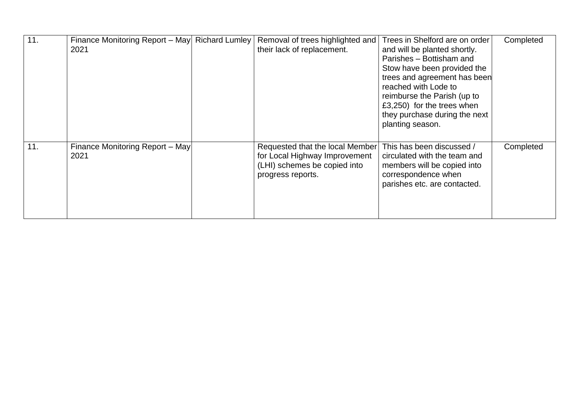| 11. | Finance Monitoring Report - May Richard Lumley<br>2021 | Removal of trees highlighted and<br>their lack of replacement.                                                        | Trees in Shelford are on order<br>and will be planted shortly.<br>Parishes - Bottisham and<br>Stow have been provided the<br>trees and agreement has been<br>reached with Lode to<br>reimburse the Parish (up to<br>£3,250) for the trees when<br>they purchase during the next<br>planting season. | Completed |
|-----|--------------------------------------------------------|-----------------------------------------------------------------------------------------------------------------------|-----------------------------------------------------------------------------------------------------------------------------------------------------------------------------------------------------------------------------------------------------------------------------------------------------|-----------|
| 11. | Finance Monitoring Report - May<br>2021                | Requested that the local Member<br>for Local Highway Improvement<br>(LHI) schemes be copied into<br>progress reports. | This has been discussed /<br>circulated with the team and<br>members will be copied into<br>correspondence when<br>parishes etc. are contacted.                                                                                                                                                     | Completed |